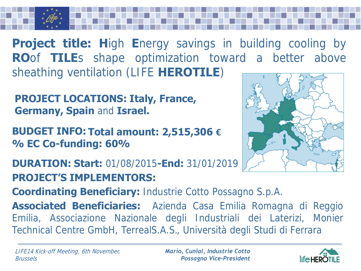**Project title: H**igh **E**nergy savings in building cooling by **RO**of **TILE**s shape optimization toward a better above sheathing ventilation (LIFE **HEROTILE**)

**PROJECT LOCATIONS: Italy, France, Germany, Spain** and **Israel.**

**BUDGET INFO: Total amount: 2,515,306 € % EC Co-funding: 60%**

**PROJECT'S IMPLEMENTORS: DURATION: Start:** 01/08/2015**-End:** 31/01/2019

**Coordinating Beneficiary:** Industrie Cotto Possagno S.p.A.

**Associated Beneficiaries:** Azienda Casa Emilia Romagna di Reggio Emilia, Associazione Nazionale degli Industriali dei Laterizi, Monier Technical Centre GmbH, TerrealS.A.S., Università degli Studi di Ferrara

*Mario, Cunial, Industrie Cotto Possagno Vice-President*



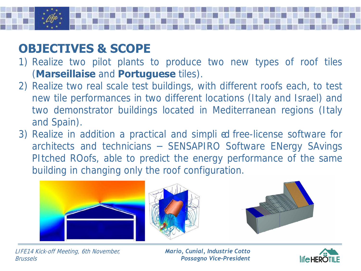## **OBJECTIVES & SCOPE**

- 1) Realize two pilot plants to produce two new types of roof tiles (**Marseillaise** and **Portuguese** tiles).
- 2) Realize two real scale test buildings, with different roofs each, to test new tile performances in two different locations (Italy and Israel) and two demonstrator buildings located in Mediterranean regions (Italy and Spain).
- 3) Realize in addition a practical and simpli ed free-license software for architects and technicians – SENSAPIRO Software ENergy SAvings PItched ROofs, able to predict the energy performance of the same building in changing only the roof configuration.



LIFE14 Kick-off Meeting, 6th November, Brussels

*Mario, Cunial, Industrie Cotto Possagno Vice-President*

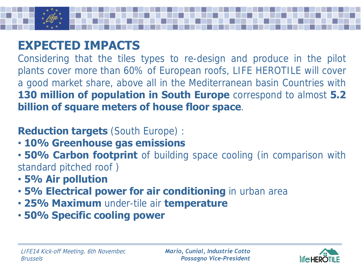

## **EXPECTED IMPACTS**

Considering that the tiles types to re-design and produce in the pilot plants cover more than 60% of European roofs, LIFE HEROTILE will cover a good market share, above all in the Mediterranean basin Countries with **130 million of population in South Europe** correspond to almost **5.2 billion of square meters of house floor space**.

## **Reduction targets** (South Europe) :

- **10% Greenhouse gas emissions**
- **50% Carbon footprint** of building space cooling (in comparison with standard pitched roof )
- **5% Air pollution**
- **5% Electrical power for air conditioning** in urban area
- **25% Maximum** under-tile air **temperature**
- **50% Specific cooling power**